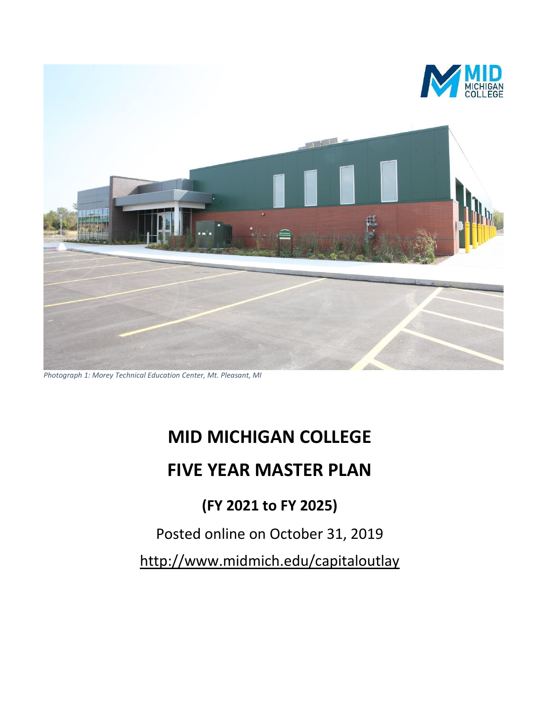

*Photograph 1: Morey Technical Education Center, Mt. Pleasant, MI*

# **MID MICHIGAN COLLEGE**

# **FIVE YEAR MASTER PLAN**

# **(FY 2021 to FY 2025)**

# Posted online on October 31, 2019

<http://www.midmich.edu/capitaloutlay>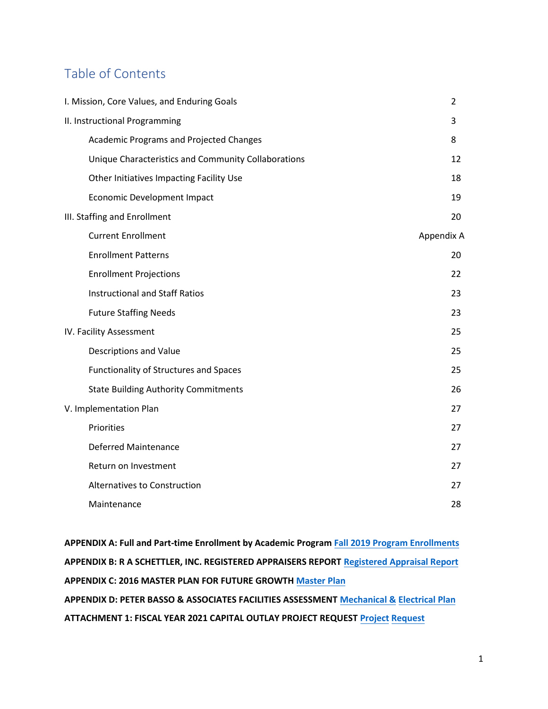# Table of Contents

| I. Mission, Core Values, and Enduring Goals         | $\overline{2}$ |
|-----------------------------------------------------|----------------|
| II. Instructional Programming                       | 3              |
| <b>Academic Programs and Projected Changes</b>      | 8              |
| Unique Characteristics and Community Collaborations | 12             |
| Other Initiatives Impacting Facility Use            | 18             |
| <b>Economic Development Impact</b>                  | 19             |
| III. Staffing and Enrollment                        | 20             |
| <b>Current Enrollment</b>                           | Appendix A     |
| <b>Enrollment Patterns</b>                          | 20             |
| <b>Enrollment Projections</b>                       | 22             |
| <b>Instructional and Staff Ratios</b>               | 23             |
| <b>Future Staffing Needs</b>                        | 23             |
| IV. Facility Assessment                             | 25             |
| Descriptions and Value                              | 25             |
| <b>Functionality of Structures and Spaces</b>       | 25             |
| <b>State Building Authority Commitments</b>         | 26             |
| V. Implementation Plan                              | 27             |
| Priorities                                          | 27             |
| <b>Deferred Maintenance</b>                         | 27             |
| Return on Investment                                | 27             |
| <b>Alternatives to Construction</b>                 | 27             |
| Maintenance                                         | 28             |

**APPENDIX A: Full and Part-time Enrollment by Academic Program [Fall 2019 Program Enrollments](https://www.midmich.edu/download_file/view/8950) APPENDIX B: R A SCHETTLER, INC. REGISTERED APPRAISERS REPORT [Registered Appraisal Report](https://www.midmich.edu/application/files/5015/4204/6384/Appendix_B_Schettler_appraisal_2018.pdf) APPENDIX C: 2016 MASTER PLAN FOR FUTURE GROWTH [Master Plan](https://www.midmich.edu/application/files/5114/4614/8502/Attachment_A_MMCC_2016_Master_Plan.pdf) APPENDIX D: PETER BASSO & ASSOCIATES FACILITIES ASSESSMEN[T Mechanical &](https://www.midmich.edu/linked-pages-files/2015-MasterPlan-for-HA-Campus.pdf) [Electrical Plan](https://www.midmich.edu/linked-pages-files/2015-MasterPlan-for-HA-Campus.pdf) ATTACHMENT 1: FISCAL YEAR 2021 CAPITAL OUTLAY PROJECT REQUES[T Project](https://www.midmich.edu/application/files/8114/7800/8727/2018_MMMC_Major_Project_Request10-31-16.pdf) [Request](https://www.midmich.edu/application/files/8114/7800/8727/2018_MMMC_Major_Project_Request10-31-16.pdf)**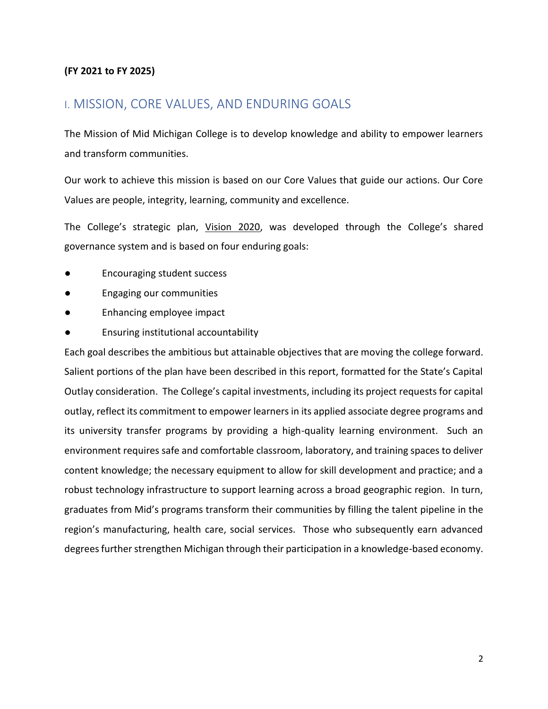#### **(FY 2021 to FY 2025)**

### I. MISSION, CORE VALUES, AND ENDURING GOALS

The Mission of Mid Michigan College is to develop knowledge and ability to empower learners and transform communities.

Our work to achieve this mission is based on our Core Values that guide our actions. Our Core Values are people, integrity, learning, community and excellence.

The College's strategic plan, [Vision 2020, w](https://www.midmich.edu/custom/vision2020)as developed through the College's shared governance system and is based on four enduring goals:

- Encouraging student success
- **Engaging our communities**
- Enhancing employee impact
- Ensuring institutional accountability

Each goal describes the ambitious but attainable objectives that are moving the college forward. Salient portions of the plan have been described in this report, formatted for the State's Capital Outlay consideration. The College's capital investments, including its project requests for capital outlay, reflect its commitment to empower learners in its applied associate degree programs and its university transfer programs by providing a high-quality learning environment. Such an environment requires safe and comfortable classroom, laboratory, and training spaces to deliver content knowledge; the necessary equipment to allow for skill development and practice; and a robust technology infrastructure to support learning across a broad geographic region. In turn, graduates from Mid's programs transform their communities by filling the talent pipeline in the region's manufacturing, health care, social services. Those who subsequently earn advanced degrees further strengthen Michigan through their participation in a knowledge-based economy.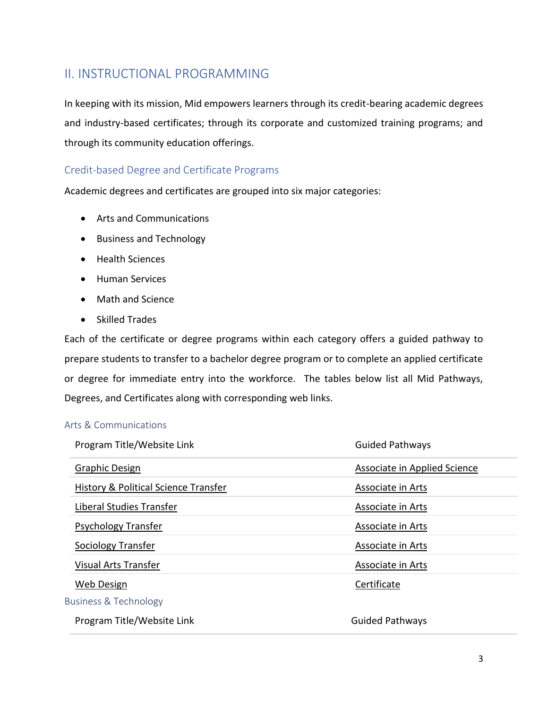# II. INSTRUCTIONAL PROGRAMMING

In keeping with its mission, Mid empowers learners through its credit-bearing academic degrees and industry-based certificates; through its corporate and customized training programs; and through its community education offerings.

### Credit-based Degree and Certificate Programs

Academic degrees and certificates are grouped into six major categories:

- Arts and Communications
- Business and Technology
- Health Sciences
- Human Services
- Math and Science
- Skilled Trades

Each of the certificate or degree programs within each category offers a guided pathway to prepare students to transfer to a bachelor degree program or to complete an applied certificate or degree for immediate entry into the workforce. The tables below list all Mid Pathways, Degrees, and Certificates along with corresponding web links.

#### Arts & Communications

| Program Title/Website Link                      | <b>Guided Pathways</b>       |
|-------------------------------------------------|------------------------------|
| Graphic Design                                  | Associate in Applied Science |
| <b>History &amp; Political Science Transfer</b> | Associate in Arts            |
| Liberal Studies Transfer                        | Associate in Arts            |
| Psychology Transfer                             | Associate in Arts            |
| Sociology Transfer                              | Associate in Arts            |
| Visual Arts Transfer                            | Associate in Arts            |
| Web Design                                      | Certificate                  |
| Business & Technology                           |                              |
| Program Title/Website Link                      | <b>Guided Pathways</b>       |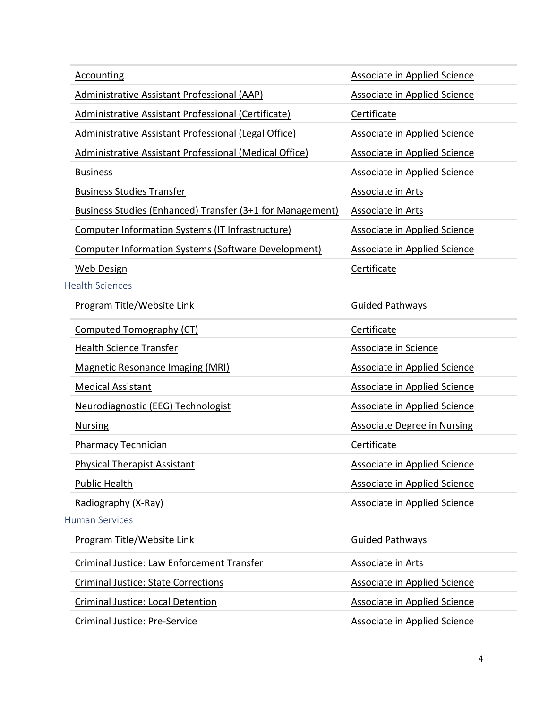| <b>Accounting</b>                                                | Associate in Applied Science        |
|------------------------------------------------------------------|-------------------------------------|
| <b>Administrative Assistant Professional (AAP)</b>               | <b>Associate in Applied Science</b> |
| <b>Administrative Assistant Professional (Certificate)</b>       | Certificate                         |
| Administrative Assistant Professional (Legal Office)             | <b>Associate in Applied Science</b> |
| Administrative Assistant Professional (Medical Office)           | <b>Associate in Applied Science</b> |
| <b>Business</b>                                                  | <b>Associate in Applied Science</b> |
| <b>Business Studies Transfer</b>                                 | <b>Associate in Arts</b>            |
| <b>Business Studies (Enhanced) Transfer (3+1 for Management)</b> | <b>Associate in Arts</b>            |
| Computer Information Systems (IT Infrastructure)                 | <b>Associate in Applied Science</b> |
| <b>Computer Information Systems (Software Development)</b>       | <b>Associate in Applied Science</b> |
| <b>Web Design</b>                                                | Certificate                         |
| <b>Health Sciences</b>                                           |                                     |
| Program Title/Website Link                                       | <b>Guided Pathways</b>              |
| Computed Tomography (CT)                                         | Certificate                         |
| <b>Health Science Transfer</b>                                   | Associate in Science                |
| <b>Magnetic Resonance Imaging (MRI)</b>                          | <b>Associate in Applied Science</b> |
| <b>Medical Assistant</b>                                         | <b>Associate in Applied Science</b> |
| Neurodiagnostic (EEG) Technologist                               | <b>Associate in Applied Science</b> |
| <b>Nursing</b>                                                   | <b>Associate Degree in Nursing</b>  |
| <b>Pharmacy Technician</b>                                       | Certificate                         |
| <b>Physical Therapist Assistant</b>                              | <b>Associate in Applied Science</b> |
| <b>Public Health</b>                                             | <b>Associate in Applied Science</b> |
| Radiography (X-Ray)                                              | <b>Associate in Applied Science</b> |
| <b>Human Services</b>                                            |                                     |
| Program Title/Website Link                                       | <b>Guided Pathways</b>              |
| Criminal Justice: Law Enforcement Transfer                       | <b>Associate in Arts</b>            |
| <b>Criminal Justice: State Corrections</b>                       | <b>Associate in Applied Science</b> |
| <b>Criminal Justice: Local Detention</b>                         | <b>Associate in Applied Science</b> |
| <b>Criminal Justice: Pre-Service</b>                             | <b>Associate in Applied Science</b> |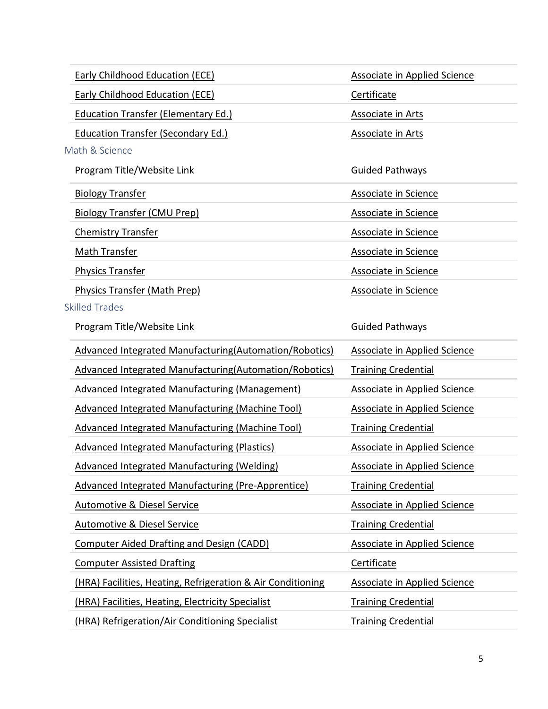|                           | Early Childhood Education (ECE)                             | <b>Associate in Applied Science</b> |
|---------------------------|-------------------------------------------------------------|-------------------------------------|
|                           | <b>Early Childhood Education (ECE)</b>                      | Certificate                         |
|                           | <b>Education Transfer (Elementary Ed.)</b>                  | <b>Associate in Arts</b>            |
|                           | <b>Education Transfer (Secondary Ed.)</b>                   | <b>Associate in Arts</b>            |
| Math & Science            |                                                             |                                     |
|                           | Program Title/Website Link                                  | <b>Guided Pathways</b>              |
| <b>Biology Transfer</b>   |                                                             | Associate in Science                |
|                           | <b>Biology Transfer (CMU Prep)</b>                          | <b>Associate in Science</b>         |
| <b>Chemistry Transfer</b> |                                                             | <b>Associate in Science</b>         |
| Math Transfer             |                                                             | Associate in Science                |
| <b>Physics Transfer</b>   |                                                             | Associate in Science                |
|                           | <b>Physics Transfer (Math Prep)</b>                         | <b>Associate in Science</b>         |
| <b>Skilled Trades</b>     |                                                             |                                     |
|                           | Program Title/Website Link                                  | <b>Guided Pathways</b>              |
|                           | Advanced Integrated Manufacturing (Automation/Robotics)     | Associate in Applied Science        |
|                           | Advanced Integrated Manufacturing (Automation/Robotics)     | <b>Training Credential</b>          |
|                           | <b>Advanced Integrated Manufacturing (Management)</b>       | <b>Associate in Applied Science</b> |
|                           | <b>Advanced Integrated Manufacturing (Machine Tool)</b>     | <b>Associate in Applied Science</b> |
|                           | <b>Advanced Integrated Manufacturing (Machine Tool)</b>     | <b>Training Credential</b>          |
|                           | Advanced Integrated Manufacturing (Plastics)                | <b>Associate in Applied Science</b> |
|                           | <b>Advanced Integrated Manufacturing (Welding)</b>          | <b>Associate in Applied Science</b> |
|                           | <b>Advanced Integrated Manufacturing (Pre-Apprentice)</b>   | <b>Training Credential</b>          |
|                           | <b>Automotive &amp; Diesel Service</b>                      | <b>Associate in Applied Science</b> |
|                           | <b>Automotive &amp; Diesel Service</b>                      | <b>Training Credential</b>          |
|                           | <b>Computer Aided Drafting and Design (CADD)</b>            | <b>Associate in Applied Science</b> |
|                           | <b>Computer Assisted Drafting</b>                           | Certificate                         |
|                           | (HRA) Facilities, Heating, Refrigeration & Air Conditioning | <b>Associate in Applied Science</b> |
|                           | (HRA) Facilities, Heating, Electricity Specialist           | <b>Training Credential</b>          |
|                           | (HRA) Refrigeration/Air Conditioning Specialist             | <b>Training Credential</b>          |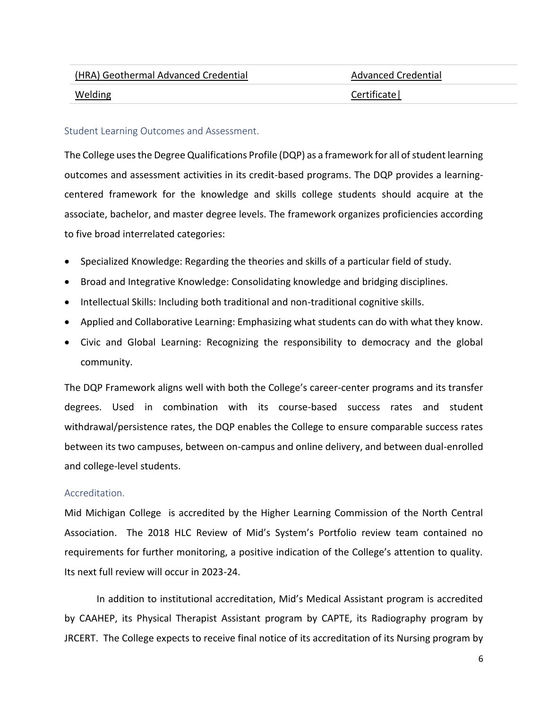| (HRA) Geothermal Advanced Credential | Advanced Credential |
|--------------------------------------|---------------------|
| Welding                              | Certificate         |

#### Student Learning Outcomes and Assessment.

The College uses the Degree Qualifications Profile (DQP) as a framework for all of student learning outcomes and assessment activities in its credit-based programs. The DQP provides a learningcentered framework for the knowledge and skills college students should acquire at the associate, bachelor, and master degree levels. The framework organizes proficiencies according to five broad interrelated categories:

- Specialized Knowledge: Regarding the theories and skills of a particular field of study.
- Broad and Integrative Knowledge: Consolidating knowledge and bridging disciplines.
- Intellectual Skills: Including both traditional and non-traditional cognitive skills.
- Applied and Collaborative Learning: Emphasizing what students can do with what they know.
- Civic and Global Learning: Recognizing the responsibility to democracy and the global community.

The DQP Framework aligns well with both the College's career-center programs and its transfer degrees. Used in combination with its course-based success rates and student withdrawal/persistence rates, the DQP enables the College to ensure comparable success rates between its two campuses, between on-campus and online delivery, and between dual-enrolled and college-level students.

#### Accreditation.

Mid Michigan College is accredited by the Higher Learning Commission of the North Central Association. The 2018 HLC Review of Mid's System's Portfolio review team contained no requirements for further monitoring, a positive indication of the College's attention to quality. Its next full review will occur in 2023-24.

In addition to institutional accreditation, Mid's Medical Assistant program is accredited by CAAHEP, its Physical Therapist Assistant program by CAPTE, its Radiography program by JRCERT. The College expects to receive final notice of its accreditation of its Nursing program by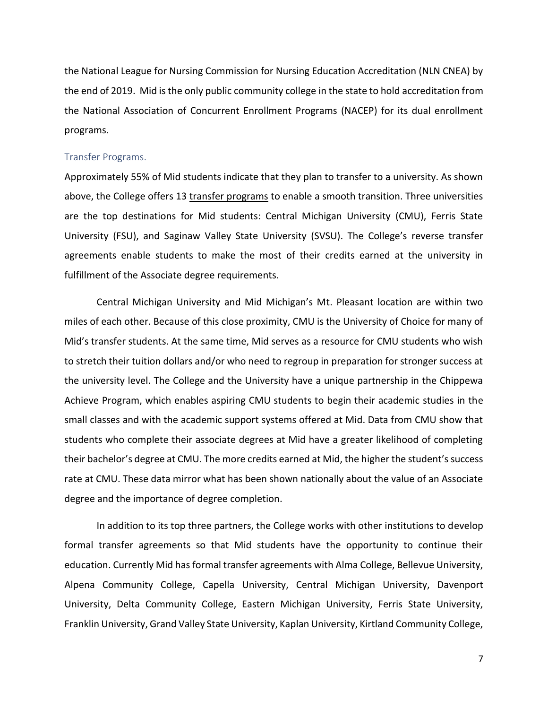the National League for Nursing Commission for Nursing Education Accreditation (NLN CNEA) by the end of 2019. Mid is the only public community college in the state to hold accreditation from the National Association of Concurrent Enrollment Programs (NACEP) for its dual enrollment programs.

#### Transfer Programs.

Approximately 55% of Mid students indicate that they plan to transfer to a university. As shown above, the College offers 13 [transfer programs](https://www.midmich.edu/academics/transfer/transfer-degrees) to enable a smooth transition. Three universities are the top destinations for Mid students: Central Michigan University (CMU), Ferris State University (FSU), and Saginaw Valley State University (SVSU). The College's reverse transfer agreements enable students to make the most of their credits earned at the university in fulfillment of the Associate degree requirements.

Central Michigan University and Mid Michigan's Mt. Pleasant location are within two miles of each other. Because of this close proximity, CMU is the University of Choice for many of Mid's transfer students. At the same time, Mid serves as a resource for CMU students who wish to stretch their tuition dollars and/or who need to regroup in preparation for stronger success at the university level. The College and the University have a unique partnership in the Chippewa Achieve Program, which enables aspiring CMU students to begin their academic studies in the small classes and with the academic support systems offered at Mid. Data from CMU show that students who complete their associate degrees at Mid have a greater likelihood of completing their bachelor's degree at CMU. The more credits earned at Mid, the higher the student's success rate at CMU. These data mirror what has been shown nationally about the value of an Associate degree and the importance of degree completion.

In addition to its top three partners, the College works with other institutions to develop formal transfer agreements so that Mid students have the opportunity to continue their education. Currently Mid has formal transfer agreements with Alma College, Bellevue University, Alpena Community College, Capella University, Central Michigan University, Davenport University, Delta Community College, Eastern Michigan University, Ferris State University, Franklin University, Grand Valley State University, Kaplan University, Kirtland Community College,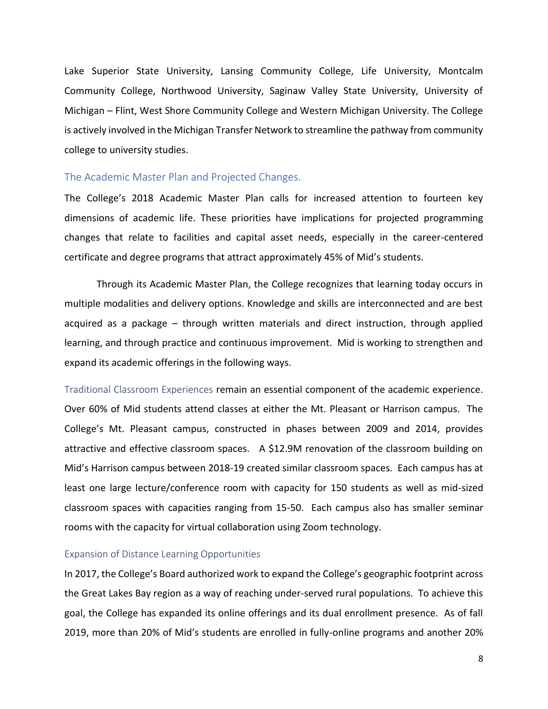Lake Superior State University, Lansing Community College, Life University, Montcalm Community College, Northwood University, Saginaw Valley State University, University of Michigan – Flint, West Shore Community College and Western Michigan University. The College is actively involved in the Michigan Transfer Network to streamline the pathway from community college to university studies.

#### The Academic Master Plan and Projected Changes.

The College's 2018 Academic Master Plan calls for increased attention to fourteen key dimensions of academic life. These priorities have implications for projected programming changes that relate to facilities and capital asset needs, especially in the career-centered certificate and degree programs that attract approximately 45% of Mid's students.

Through its Academic Master Plan, the College recognizes that learning today occurs in multiple modalities and delivery options. Knowledge and skills are interconnected and are best acquired as a package – through written materials and direct instruction, through applied learning, and through practice and continuous improvement. Mid is working to strengthen and expand its academic offerings in the following ways.

Traditional Classroom Experiences remain an essential component of the academic experience. Over 60% of Mid students attend classes at either the Mt. Pleasant or Harrison campus. The College's Mt. Pleasant campus, constructed in phases between 2009 and 2014, provides attractive and effective classroom spaces. A \$12.9M renovation of the classroom building on Mid's Harrison campus between 2018-19 created similar classroom spaces. Each campus has at least one large lecture/conference room with capacity for 150 students as well as mid-sized classroom spaces with capacities ranging from 15-50. Each campus also has smaller seminar rooms with the capacity for virtual collaboration using Zoom technology.

#### Expansion of Distance Learning Opportunities

In 2017, the College's Board authorized work to expand the College's geographic footprint across the Great Lakes Bay region as a way of reaching under-served rural populations. To achieve this goal, the College has expanded its online offerings and its dual enrollment presence. As of fall 2019, more than 20% of Mid's students are enrolled in fully-online programs and another 20%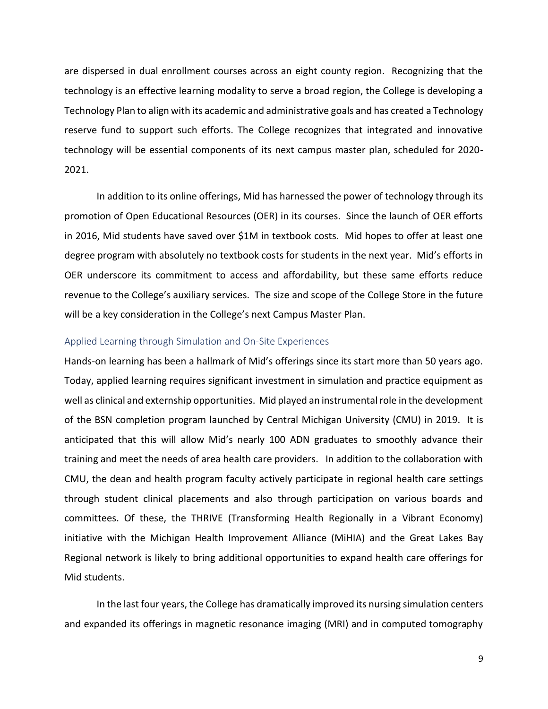are dispersed in dual enrollment courses across an eight county region. Recognizing that the technology is an effective learning modality to serve a broad region, the College is developing a Technology Plan to align with its academic and administrative goals and has created a Technology reserve fund to support such efforts. The College recognizes that integrated and innovative technology will be essential components of its next campus master plan, scheduled for 2020- 2021.

In addition to its online offerings, Mid has harnessed the power of technology through its promotion of Open Educational Resources (OER) in its courses. Since the launch of OER efforts in 2016, Mid students have saved over \$1M in textbook costs. Mid hopes to offer at least one degree program with absolutely no textbook costs for students in the next year. Mid's efforts in OER underscore its commitment to access and affordability, but these same efforts reduce revenue to the College's auxiliary services. The size and scope of the College Store in the future will be a key consideration in the College's next Campus Master Plan.

#### Applied Learning through Simulation and On-Site Experiences

Hands-on learning has been a hallmark of Mid's offerings since its start more than 50 years ago. Today, applied learning requires significant investment in simulation and practice equipment as well as clinical and externship opportunities. Mid played an instrumental role in the development of the BSN completion program launched by Central Michigan University (CMU) in 2019. It is anticipated that this will allow Mid's nearly 100 ADN graduates to smoothly advance their training and meet the needs of area health care providers. In addition to the collaboration with CMU, the dean and health program faculty actively participate in regional health care settings through student clinical placements and also through participation on various boards and committees. Of these, the THRIVE (Transforming Health Regionally in a Vibrant Economy) initiative with the Michigan Health Improvement Alliance (MiHIA) and the Great Lakes Bay Regional network is likely to bring additional opportunities to expand health care offerings for Mid students.

In the last four years, the College has dramatically improved its nursing simulation centers and expanded its offerings in magnetic resonance imaging (MRI) and in computed tomography

9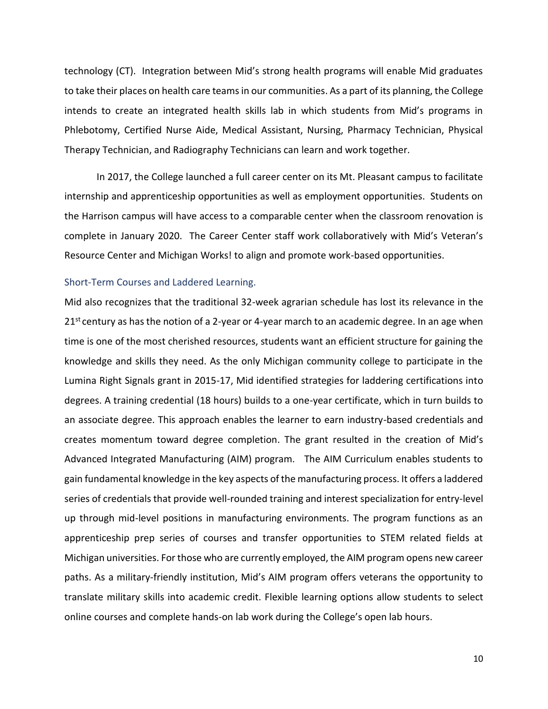technology (CT). Integration between Mid's strong health programs will enable Mid graduates to take their places on health care teams in our communities. As a part of its planning, the College intends to create an integrated health skills lab in which students from Mid's programs in Phlebotomy, Certified Nurse Aide, Medical Assistant, Nursing, Pharmacy Technician, Physical Therapy Technician, and Radiography Technicians can learn and work together.

In 2017, the College launched a full career center on its Mt. Pleasant campus to facilitate internship and apprenticeship opportunities as well as employment opportunities. Students on the Harrison campus will have access to a comparable center when the classroom renovation is complete in January 2020. The Career Center staff work collaboratively with Mid's Veteran's Resource Center and Michigan Works! to align and promote work-based opportunities.

#### Short-Term Courses and Laddered Learning.

Mid also recognizes that the traditional 32-week agrarian schedule has lost its relevance in the  $21<sup>st</sup>$  century as has the notion of a 2-year or 4-year march to an academic degree. In an age when time is one of the most cherished resources, students want an efficient structure for gaining the knowledge and skills they need. As the only Michigan community college to participate in the Lumina Right Signals grant in 2015-17, Mid identified strategies for laddering certifications into degrees. A training credential (18 hours) builds to a one-year certificate, which in turn builds to an associate degree. This approach enables the learner to earn industry-based credentials and creates momentum toward degree completion. The grant resulted in the creation of Mid's Advanced Integrated Manufacturing (AIM) program. The AIM Curriculum enables students to gain fundamental knowledge in the key aspects of the manufacturing process. It offers a laddered series of credentials that provide well-rounded training and interest specialization for entry-level up through mid-level positions in manufacturing environments. The program functions as an apprenticeship prep series of courses and transfer opportunities to STEM related fields at Michigan universities. For those who are currently employed, the AIM program opens new career paths. As a military-friendly institution, Mid's AIM program offers veterans the opportunity to translate military skills into academic credit. Flexible learning options allow students to select online courses and complete hands-on lab work during the College's open lab hours.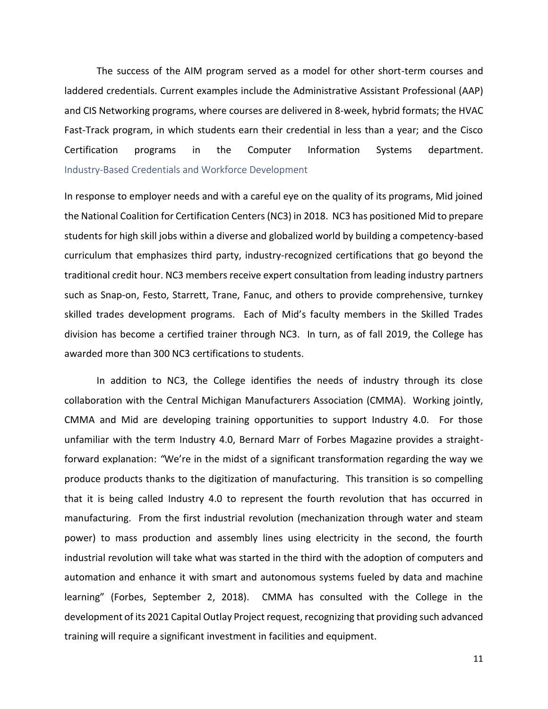The success of the AIM program served as a model for other short-term courses and laddered credentials. Current examples include the Administrative Assistant Professional (AAP) and CIS Networking programs, where courses are delivered in 8-week, hybrid formats; the HVAC Fast-Track program, in which students earn their credential in less than a year; and the Cisco Certification programs in the Computer Information Systems department. Industry-Based Credentials and Workforce Development

In response to employer needs and with a careful eye on the quality of its programs, Mid joined the National Coalition for Certification Centers (NC3) in 2018. NC3 has positioned Mid to prepare students for high skill jobs within a diverse and globalized world by building a competency-based curriculum that emphasizes third party, industry-recognized certifications that go beyond the traditional credit hour. NC3 members receive expert consultation from leading industry partners such as Snap-on, Festo, Starrett, Trane, Fanuc, and others to provide comprehensive, turnkey skilled trades development programs. Each of Mid's faculty members in the Skilled Trades division has become a certified trainer through NC3. In turn, as of fall 2019, the College has awarded more than 300 NC3 certifications to students.

In addition to NC3, the College identifies the needs of industry through its close collaboration with the Central Michigan Manufacturers Association (CMMA). Working jointly, CMMA and Mid are developing training opportunities to support Industry 4.0. For those unfamiliar with the term Industry 4.0, Bernard Marr of Forbes Magazine provides a straightforward explanation: *"*We're in the midst of a significant transformation regarding the way we produce products thanks to the digitization of manufacturing. This transition is so compelling that it is being called Industry 4.0 to represent the fourth revolution that has occurred in manufacturing. From the first industrial revolution (mechanization through water and steam power) to mass production and assembly lines using electricity in the second, the fourth industrial revolution will take what was started in the third with the adoption of computers and automation and enhance it with smart and autonomous systems fueled by data and machine learning" (Forbes, September 2, 2018). CMMA has consulted with the College in the development of its 2021 Capital Outlay Project request, recognizing that providing such advanced training will require a significant investment in facilities and equipment.

11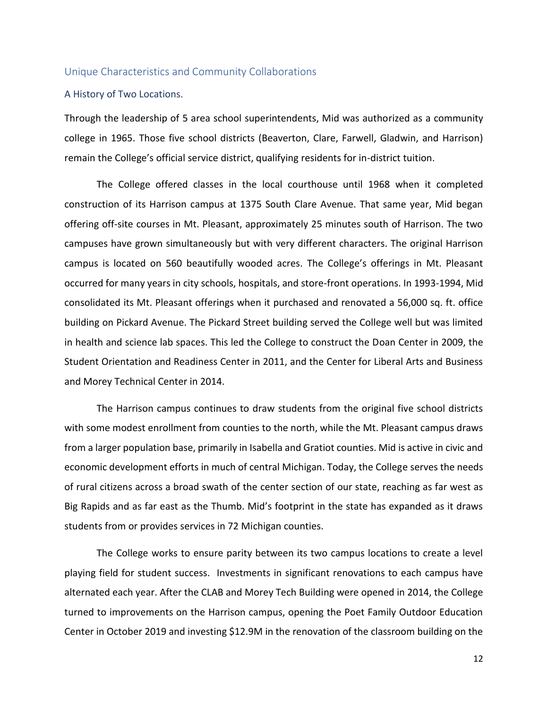#### Unique Characteristics and Community Collaborations

#### A History of Two Locations.

Through the leadership of 5 area school superintendents, Mid was authorized as a community college in 1965. Those five school districts (Beaverton, Clare, Farwell, Gladwin, and Harrison) remain the College's official service district, qualifying residents for in-district tuition.

The College offered classes in the local courthouse until 1968 when it completed construction of its Harrison campus at 1375 South Clare Avenue. That same year, Mid began offering off-site courses in Mt. Pleasant, approximately 25 minutes south of Harrison. The two campuses have grown simultaneously but with very different characters. The original Harrison campus is located on 560 beautifully wooded acres. The College's offerings in Mt. Pleasant occurred for many years in city schools, hospitals, and store-front operations. In 1993-1994, Mid consolidated its Mt. Pleasant offerings when it purchased and renovated a 56,000 sq. ft. office building on Pickard Avenue. The Pickard Street building served the College well but was limited in health and science lab spaces. This led the College to construct the Doan Center in 2009, the Student Orientation and Readiness Center in 2011, and the Center for Liberal Arts and Business and Morey Technical Center in 2014.

The Harrison campus continues to draw students from the original five school districts with some modest enrollment from counties to the north, while the Mt. Pleasant campus draws from a larger population base, primarily in Isabella and Gratiot counties. Mid is active in civic and economic development efforts in much of central Michigan. Today, the College serves the needs of rural citizens across a broad swath of the center section of our state, reaching as far west as Big Rapids and as far east as the Thumb. Mid's footprint in the state has expanded as it draws students from or provides services in 72 Michigan counties.

The College works to ensure parity between its two campus locations to create a level playing field for student success. Investments in significant renovations to each campus have alternated each year. After the CLAB and Morey Tech Building were opened in 2014, the College turned to improvements on the Harrison campus, opening the Poet Family Outdoor Education Center in October 2019 and investing \$12.9M in the renovation of the classroom building on the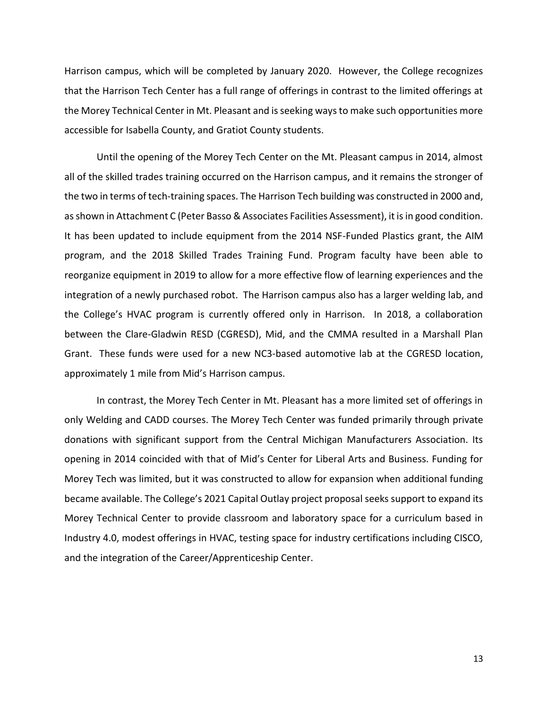Harrison campus, which will be completed by January 2020. However, the College recognizes that the Harrison Tech Center has a full range of offerings in contrast to the limited offerings at the Morey Technical Center in Mt. Pleasant and is seeking ways to make such opportunities more accessible for Isabella County, and Gratiot County students.

Until the opening of the Morey Tech Center on the Mt. Pleasant campus in 2014, almost all of the skilled trades training occurred on the Harrison campus, and it remains the stronger of the two in terms of tech-training spaces. The Harrison Tech building was constructed in 2000 and, as shown in Attachment C (Peter Basso & Associates Facilities Assessment), it is in good condition. It has been updated to include equipment from the 2014 NSF-Funded Plastics grant, the AIM program, and the 2018 Skilled Trades Training Fund. Program faculty have been able to reorganize equipment in 2019 to allow for a more effective flow of learning experiences and the integration of a newly purchased robot. The Harrison campus also has a larger welding lab, and the College's HVAC program is currently offered only in Harrison. In 2018, a collaboration between the Clare-Gladwin RESD (CGRESD), Mid, and the CMMA resulted in a Marshall Plan Grant. These funds were used for a new NC3-based automotive lab at the CGRESD location, approximately 1 mile from Mid's Harrison campus.

In contrast, the Morey Tech Center in Mt. Pleasant has a more limited set of offerings in only Welding and CADD courses. The Morey Tech Center was funded primarily through private donations with significant support from the Central Michigan Manufacturers Association. Its opening in 2014 coincided with that of Mid's Center for Liberal Arts and Business. Funding for Morey Tech was limited, but it was constructed to allow for expansion when additional funding became available. The College's 2021 Capital Outlay project proposal seeks support to expand its Morey Technical Center to provide classroom and laboratory space for a curriculum based in Industry 4.0, modest offerings in HVAC, testing space for industry certifications including CISCO, and the integration of the Career/Apprenticeship Center.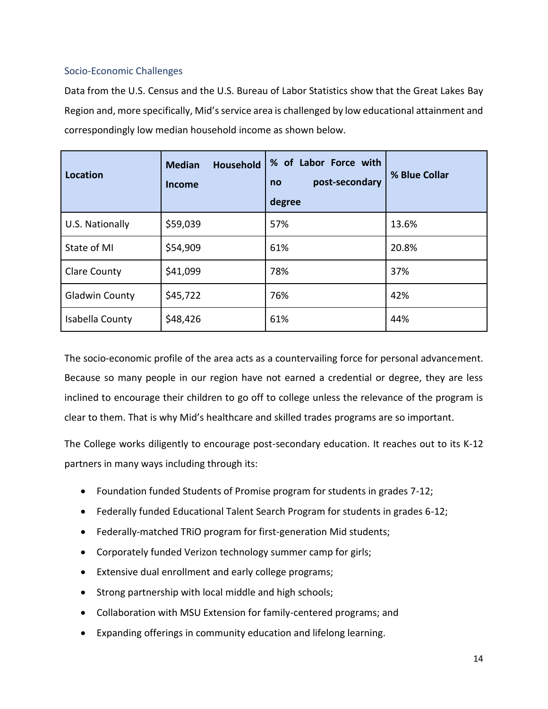#### Socio-Economic Challenges

Data from the U.S. Census and the U.S. Bureau of Labor Statistics show that the Great Lakes Bay Region and, more specifically, Mid's service area is challenged by low educational attainment and correspondingly low median household income as shown below.

| Location              | <b>Household</b><br><b>Median</b><br><b>Income</b> | % of Labor Force with<br>post-secondary<br>no<br>degree | % Blue Collar |
|-----------------------|----------------------------------------------------|---------------------------------------------------------|---------------|
| U.S. Nationally       | \$59,039                                           | 57%                                                     | 13.6%         |
| State of MI           | \$54,909                                           | 61%                                                     | 20.8%         |
| <b>Clare County</b>   | \$41,099                                           | 78%                                                     | 37%           |
| <b>Gladwin County</b> | \$45,722                                           | 76%                                                     | 42%           |
| Isabella County       | \$48,426                                           | 61%                                                     | 44%           |

The socio-economic profile of the area acts as a countervailing force for personal advancement. Because so many people in our region have not earned a credential or degree, they are less inclined to encourage their children to go off to college unless the relevance of the program is clear to them. That is why Mid's healthcare and skilled trades programs are so important.

The College works diligently to encourage post-secondary education. It reaches out to its K-12 partners in many ways including through its:

- Foundation funded Students of Promise program for students in grades 7-12;
- Federally funded Educational Talent Search Program for students in grades 6-12;
- Federally-matched TRiO program for first-generation Mid students;
- Corporately funded Verizon technology summer camp for girls;
- Extensive dual enrollment and early college programs;
- Strong partnership with local middle and high schools;
- Collaboration with MSU Extension for family-centered programs; and
- Expanding offerings in community education and lifelong learning.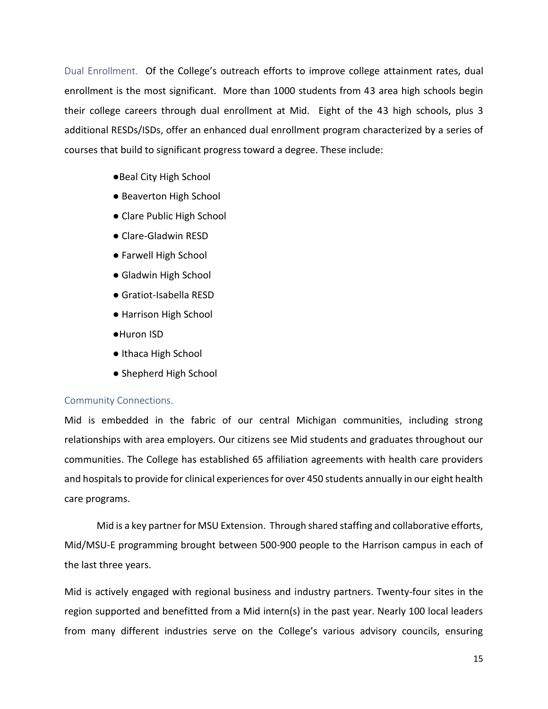Dual Enrollment. Of the College's outreach efforts to improve college attainment rates, dual enrollment is the most significant. More than 1000 students from 43 area high schools begin their college careers through dual enrollment at Mid. Eight of the 43 high schools, plus 3 additional RESDs/ISDs, offer an enhanced dual enrollment program characterized by a series of courses that build to significant progress toward a degree. These include:

- ●Beal City High School
- Beaverton High School
- Clare Public High School
- Clare-Gladwin RESD
- Farwell High School
- Gladwin High School
- Gratiot-Isabella RESD
- Harrison High School
- ●Huron ISD
- Ithaca High School
- Shepherd High School

#### Community Connections.

Mid is embedded in the fabric of our central Michigan communities, including strong relationships with area employers. Our citizens see Mid students and graduates throughout our communities. The College has established 65 affiliation agreements with health care providers and hospitals to provide for clinical experiences for over 450 students annually in our eight health care programs.

Mid is a key partner for MSU Extension. Through shared staffing and collaborative efforts, Mid/MSU-E programming brought between 500-900 people to the Harrison campus in each of the last three years.

Mid is actively engaged with regional business and industry partners. Twenty-four sites in the region supported and benefitted from a Mid intern(s) in the past year. Nearly 100 local leaders from many different industries serve on the College's various advisory councils, ensuring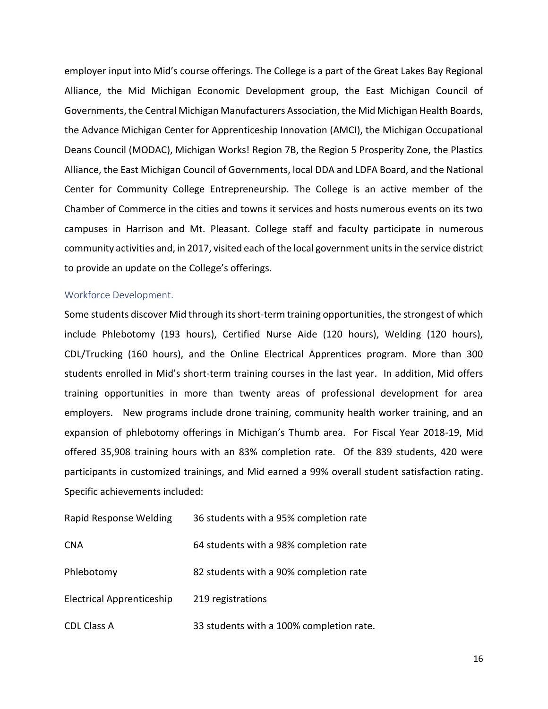employer input into Mid's course offerings. The College is a part of the Great Lakes Bay Regional Alliance, the Mid Michigan Economic Development group, the East Michigan Council of Governments, the Central Michigan Manufacturers Association, the Mid Michigan Health Boards, the Advance Michigan Center for Apprenticeship Innovation (AMCI), the Michigan Occupational Deans Council (MODAC), Michigan Works! Region 7B, the Region 5 Prosperity Zone, the Plastics Alliance, the East Michigan Council of Governments, local DDA and LDFA Board, and the National Center for Community College Entrepreneurship. The College is an active member of the Chamber of Commerce in the cities and towns it services and hosts numerous events on its two campuses in Harrison and Mt. Pleasant. College staff and faculty participate in numerous community activities and, in 2017, visited each of the local government units in the service district to provide an update on the College's offerings.

#### Workforce Development.

Some students discover Mid through its short-term training opportunities, the strongest of which include Phlebotomy (193 hours), Certified Nurse Aide (120 hours), Welding (120 hours), CDL/Trucking (160 hours), and the Online Electrical Apprentices program. More than 300 students enrolled in Mid's short-term training courses in the last year. In addition, Mid offers training opportunities in more than twenty areas of professional development for area employers.New programs include drone training, community health worker training, and an expansion of phlebotomy offerings in Michigan's Thumb area. For Fiscal Year 2018-19, Mid offered 35,908 training hours with an 83% completion rate. Of the 839 students, 420 were participants in customized trainings, and Mid earned a 99% overall student satisfaction rating. Specific achievements included:

| <b>Rapid Response Welding</b>    | 36 students with a 95% completion rate   |
|----------------------------------|------------------------------------------|
| <b>CNA</b>                       | 64 students with a 98% completion rate   |
| Phlebotomy                       | 82 students with a 90% completion rate   |
| <b>Electrical Apprenticeship</b> | 219 registrations                        |
| <b>CDL Class A</b>               | 33 students with a 100% completion rate. |

16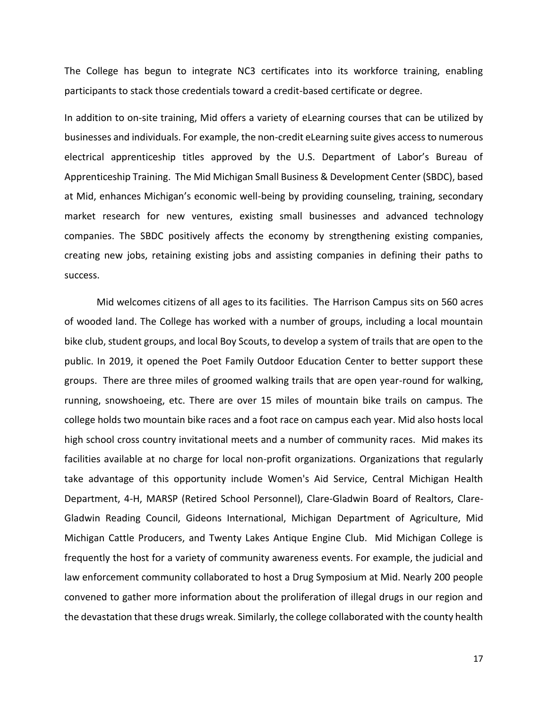The College has begun to integrate NC3 certificates into its workforce training, enabling participants to stack those credentials toward a credit-based certificate or degree.

In addition to on-site training, Mid offers a variety of eLearning courses that can be utilized by businesses and individuals. For example, the non-credit eLearning suite gives access to numerous electrical apprenticeship titles approved by the U.S. Department of Labor's Bureau of Apprenticeship Training. The Mid Michigan Small Business & Development Center (SBDC), based at Mid, enhances Michigan's economic well-being by providing counseling, training, secondary market research for new ventures, existing small businesses and advanced technology companies. The SBDC positively affects the economy by strengthening existing companies, creating new jobs, retaining existing jobs and assisting companies in defining their paths to success.

Mid welcomes citizens of all ages to its facilities. The Harrison Campus sits on 560 acres of wooded land. The College has worked with a number of groups, including a local mountain bike club, student groups, and local Boy Scouts, to develop a system of trails that are open to the public. In 2019, it opened the Poet Family Outdoor Education Center to better support these groups. There are three miles of groomed walking trails that are open year-round for walking, running, snowshoeing, etc. There are over 15 miles of mountain bike trails on campus. The college holds two mountain bike races and a foot race on campus each year. Mid also hosts local high school cross country invitational meets and a number of community races. Mid makes its facilities available at no charge for local non-profit organizations. Organizations that regularly take advantage of this opportunity include Women's Aid Service, Central Michigan Health Department, 4-H, MARSP (Retired School Personnel), Clare-Gladwin Board of Realtors, Clare-Gladwin Reading Council, Gideons International, Michigan Department of Agriculture, Mid Michigan Cattle Producers, and Twenty Lakes Antique Engine Club. Mid Michigan College is frequently the host for a variety of community awareness events. For example, the judicial and law enforcement community collaborated to host a Drug Symposium at Mid. Nearly 200 people convened to gather more information about the proliferation of illegal drugs in our region and the devastation that these drugs wreak. Similarly, the college collaborated with the county health

17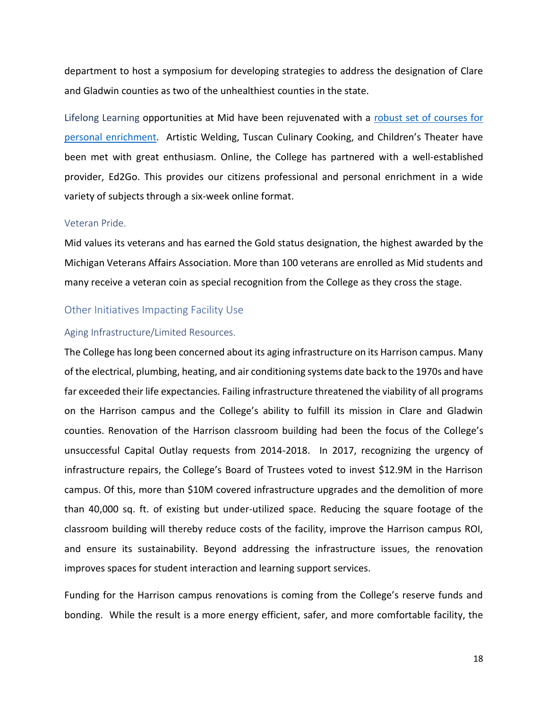department to host a symposium for developing strategies to address the designation of Clare and Gladwin counties as two of the unhealthiest counties in the state.

Lifelong Learning opportunities at Mid have been rejuvenated with a robust set of courses for [personal enrichment](https://www.midmich.edu/departments/corporate-continuing-education/lifelong-learning). Artistic Welding, Tuscan Culinary Cooking, and Children's Theater have been met with great enthusiasm. Online, the College has partnered with a well-established provider, Ed2Go. This provides our citizens professional and personal enrichment in a wide variety of subjects through a six-week online format.

#### Veteran Pride.

Mid values its veterans and has earned the Gold status designation, the highest awarded by the Michigan Veterans Affairs Association. More than 100 veterans are enrolled as Mid students and many receive a veteran coin as special recognition from the College as they cross the stage.

#### Other Initiatives Impacting Facility Use

#### Aging Infrastructure/Limited Resources.

The College has long been concerned about its aging infrastructure on its Harrison campus. Many of the electrical, plumbing, heating, and air conditioning systems date back to the 1970s and have far exceeded their life expectancies. Failing infrastructure threatened the viability of all programs on the Harrison campus and the College's ability to fulfill its mission in Clare and Gladwin counties. Renovation of the Harrison classroom building had been the focus of the College's unsuccessful Capital Outlay requests from 2014-2018. In 2017, recognizing the urgency of infrastructure repairs, the College's Board of Trustees voted to invest \$12.9M in the Harrison campus. Of this, more than \$10M covered infrastructure upgrades and the demolition of more than 40,000 sq. ft. of existing but under-utilized space. Reducing the square footage of the classroom building will thereby reduce costs of the facility, improve the Harrison campus ROI, and ensure its sustainability. Beyond addressing the infrastructure issues, the renovation improves spaces for student interaction and learning support services.

Funding for the Harrison campus renovations is coming from the College's reserve funds and bonding. While the result is a more energy efficient, safer, and more comfortable facility, the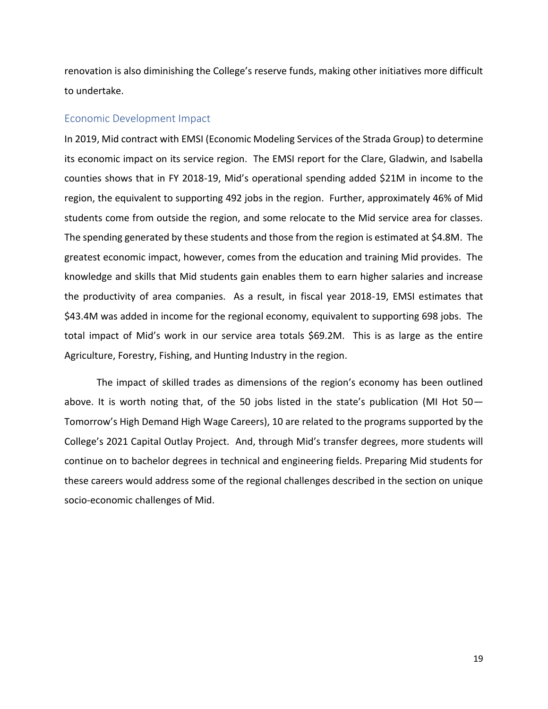renovation is also diminishing the College's reserve funds, making other initiatives more difficult to undertake.

#### Economic Development Impact

In 2019, Mid contract with EMSI (Economic Modeling Services of the Strada Group) to determine its economic impact on its service region. The EMSI report for the Clare, Gladwin, and Isabella counties shows that in FY 2018-19, Mid's operational spending added \$21M in income to the region, the equivalent to supporting 492 jobs in the region. Further, approximately 46% of Mid students come from outside the region, and some relocate to the Mid service area for classes. The spending generated by these students and those from the region is estimated at \$4.8M. The greatest economic impact, however, comes from the education and training Mid provides. The knowledge and skills that Mid students gain enables them to earn higher salaries and increase the productivity of area companies. As a result, in fiscal year 2018-19, EMSI estimates that \$43.4M was added in income for the regional economy, equivalent to supporting 698 jobs. The total impact of Mid's work in our service area totals \$69.2M. This is as large as the entire Agriculture, Forestry, Fishing, and Hunting Industry in the region.

The impact of skilled trades as dimensions of the region's economy has been outlined above. It is worth noting that, of the 50 jobs listed in the state's publication (MI Hot 50— Tomorrow's High Demand High Wage Careers), 10 are related to the programs supported by the College's 2021 Capital Outlay Project. And, through Mid's transfer degrees, more students will continue on to bachelor degrees in technical and engineering fields. Preparing Mid students for these careers would address some of the regional challenges described in the section on unique socio-economic challenges of Mid.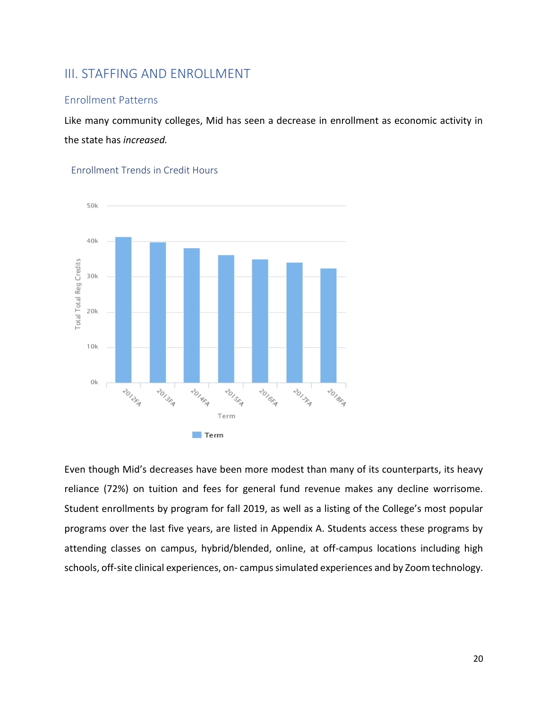## III. STAFFING AND ENROLLMENT

#### Enrollment Patterns

Like many community colleges, Mid has seen a decrease in enrollment as economic activity in the state has *increased.*



Enrollment Trends in Credit Hours

Even though Mid's decreases have been more modest than many of its counterparts, its heavy reliance (72%) on tuition and fees for general fund revenue makes any decline worrisome. Student enrollments by program for fall 2019, as well as a listing of the College's most popular programs over the last five years, are listed in Appendix A. Students access these programs by attending classes on campus, hybrid/blended, online, at off-campus locations including high schools, off-site clinical experiences, on- campus simulated experiences and by Zoom technology.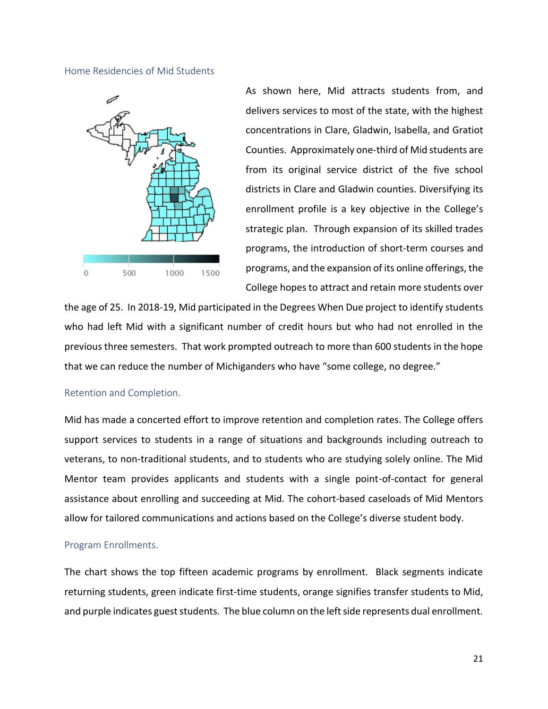Home Residencies of Mid Students



As shown here, Mid attracts students from, and delivers services to most of the state, with the highest concentrations in Clare, Gladwin, Isabella, and Gratiot Counties. Approximately one-third of Mid students are from its original service district of the five school districts in Clare and Gladwin counties. Diversifying its enrollment profile is a key objective in the College's strategic plan. Through expansion of its skilled trades programs, the introduction of short-term courses and programs, and the expansion of its online offerings, the College hopes to attract and retain more students over

the age of 25. In 2018-19, Mid participated in the Degrees When Due project to identify students who had left Mid with a significant number of credit hours but who had not enrolled in the previous three semesters. That work prompted outreach to more than 600 students in the hope that we can reduce the number of Michiganders who have "some college, no degree."

#### Retention and Completion.

Mid has made a concerted effort to improve retention and completion rates. The College offers support services to students in a range of situations and backgrounds including outreach to veterans, to non-traditional students, and to students who are studying solely online. The Mid Mentor team provides applicants and students with a single point-of-contact for general assistance about enrolling and succeeding at Mid. The cohort-based caseloads of Mid Mentors allow for tailored communications and actions based on the College's diverse student body.

#### Program Enrollments.

The chart shows the top fifteen academic programs by enrollment. Black segments indicate returning students, green indicate first-time students, orange signifies transfer students to Mid, and purple indicates guest students. The blue column on the left side represents dual enrollment.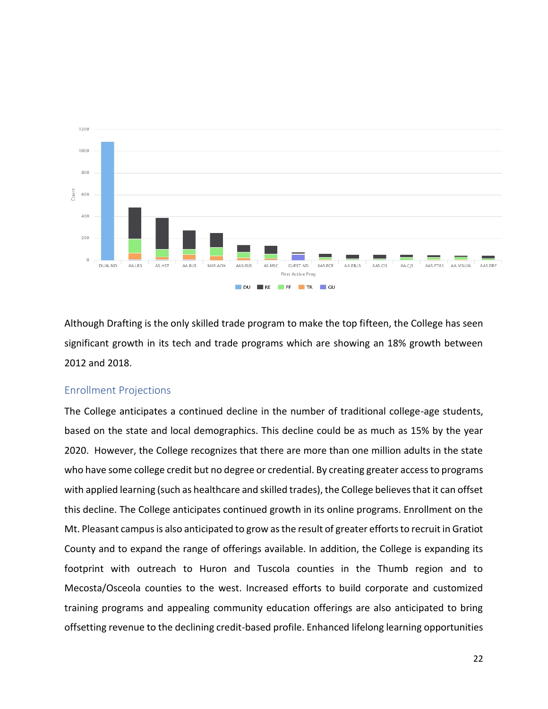

Although Drafting is the only skilled trade program to make the top fifteen, the College has seen significant growth in its tech and trade programs which are showing an 18% growth between 2012 and 2018.

#### Enrollment Projections

The College anticipates a continued decline in the number of traditional college-age students, based on the state and local demographics. This decline could be as much as 15% by the year 2020. However, the College recognizes that there are more than one million adults in the state who have some college credit but no degree or credential. By creating greater access to programs with applied learning (such as healthcare and skilled trades), the College believes that it can offset this decline. The College anticipates continued growth in its online programs. Enrollment on the Mt. Pleasant campus is also anticipated to grow as the result of greater efforts to recruit in Gratiot County and to expand the range of offerings available. In addition, the College is expanding its footprint with outreach to Huron and Tuscola counties in the Thumb region and to Mecosta/Osceola counties to the west. Increased efforts to build corporate and customized training programs and appealing community education offerings are also anticipated to bring offsetting revenue to the declining credit-based profile. Enhanced lifelong learning opportunities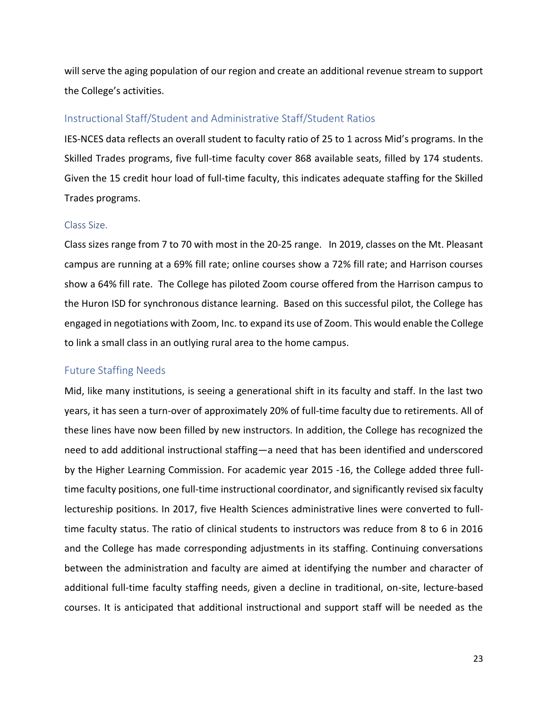will serve the aging population of our region and create an additional revenue stream to support the College's activities.

#### Instructional Staff/Student and Administrative Staff/Student Ratios

IES-NCES data reflects an overall student to faculty ratio of 25 to 1 across Mid's programs. In the Skilled Trades programs, five full-time faculty cover 868 available seats, filled by 174 students. Given the 15 credit hour load of full-time faculty, this indicates adequate staffing for the Skilled Trades programs.

#### Class Size.

Class sizes range from 7 to 70 with most in the 20-25 range. In 2019, classes on the Mt. Pleasant campus are running at a 69% fill rate; online courses show a 72% fill rate; and Harrison courses show a 64% fill rate. The College has piloted Zoom course offered from the Harrison campus to the Huron ISD for synchronous distance learning. Based on this successful pilot, the College has engaged in negotiations with Zoom, Inc. to expand its use of Zoom. This would enable the College to link a small class in an outlying rural area to the home campus.

#### Future Staffing Needs

Mid, like many institutions, is seeing a generational shift in its faculty and staff. In the last two years, it has seen a turn-over of approximately 20% of full-time faculty due to retirements. All of these lines have now been filled by new instructors. In addition, the College has recognized the need to add additional instructional staffing—a need that has been identified and underscored by the Higher Learning Commission. For academic year 2015 -16, the College added three fulltime faculty positions, one full-time instructional coordinator, and significantly revised six faculty lectureship positions. In 2017, five Health Sciences administrative lines were converted to fulltime faculty status. The ratio of clinical students to instructors was reduce from 8 to 6 in 2016 and the College has made corresponding adjustments in its staffing. Continuing conversations between the administration and faculty are aimed at identifying the number and character of additional full-time faculty staffing needs, given a decline in traditional, on-site, lecture-based courses. It is anticipated that additional instructional and support staff will be needed as the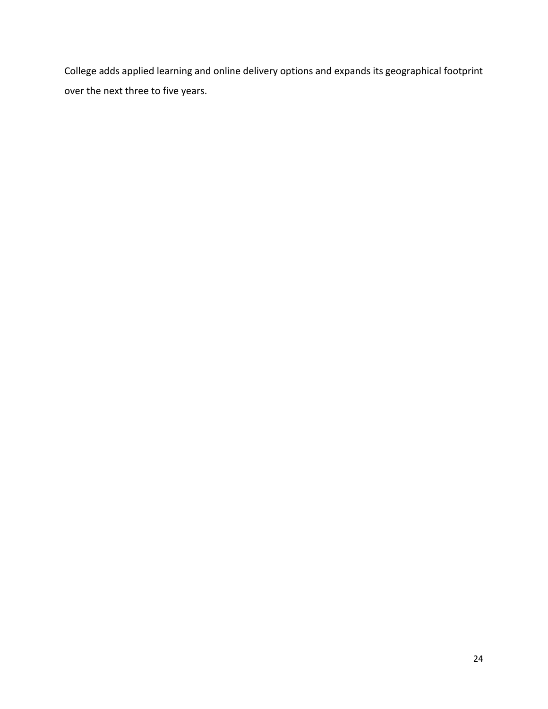College adds applied learning and online delivery options and expands its geographical footprint over the next three to five years.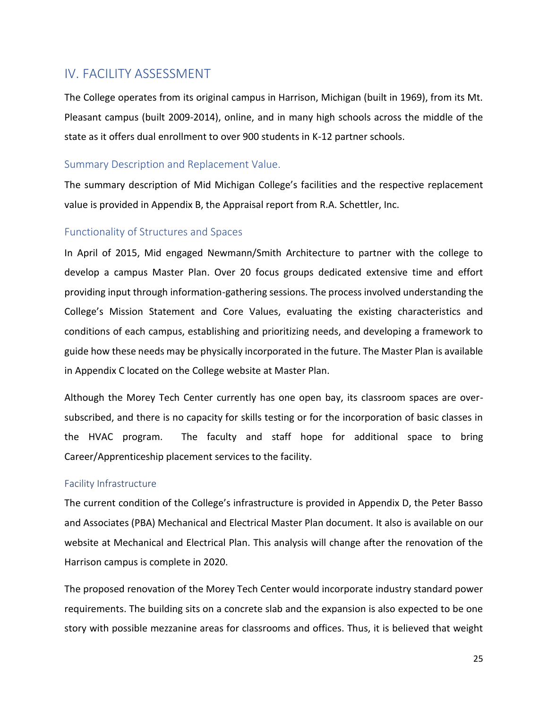# IV. FACILITY ASSESSMENT

The College operates from its original campus in Harrison, Michigan (built in 1969), from its Mt. Pleasant campus (built 2009-2014), online, and in many high schools across the middle of the state as it offers dual enrollment to over 900 students in K-12 partner schools.

#### Summary Description and Replacement Value.

The summary description of Mid Michigan College's facilities and the respective replacement value is provided in Appendix B, the Appraisal report from R.A. Schettler, Inc.

#### Functionality of Structures and Spaces

In April of 2015, Mid engaged Newmann/Smith Architecture to partner with the college to develop a campus Master Plan. Over 20 focus groups dedicated extensive time and effort providing input through information-gathering sessions. The process involved understanding the College's Mission Statement and Core Values, evaluating the existing characteristics and conditions of each campus, establishing and prioritizing needs, and developing a framework to guide how these needs may be physically incorporated in the future. The Master Plan is available in Appendix C located on the College website at Master Plan.

Although the Morey Tech Center currently has one open bay, its classroom spaces are oversubscribed, and there is no capacity for skills testing or for the incorporation of basic classes in the HVAC program. The faculty and staff hope for additional space to bring Career/Apprenticeship placement services to the facility.

#### Facility Infrastructure

The current condition of the College's infrastructure is provided in Appendix D, the Peter Basso and Associates (PBA) Mechanical and Electrical Master Plan document. It also is available on our website at Mechanical and Electrical Plan. This analysis will change after the renovation of the Harrison campus is complete in 2020.

The proposed renovation of the Morey Tech Center would incorporate industry standard power requirements. The building sits on a concrete slab and the expansion is also expected to be one story with possible mezzanine areas for classrooms and offices. Thus, it is believed that weight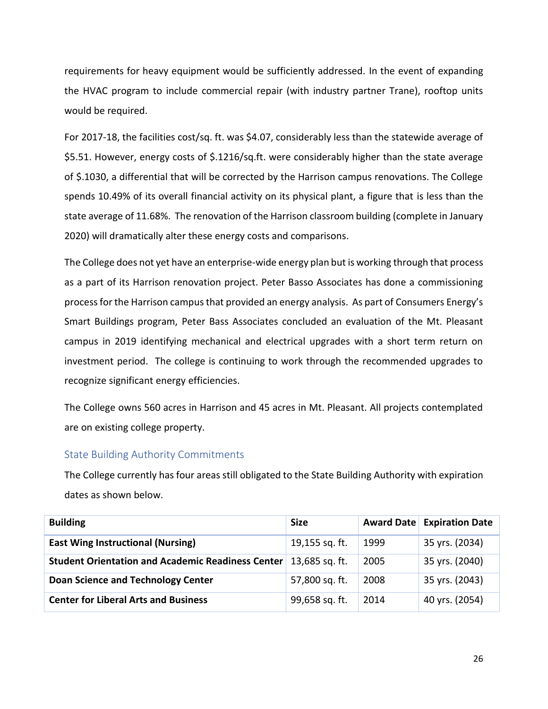requirements for heavy equipment would be sufficiently addressed. In the event of expanding the HVAC program to include commercial repair (with industry partner Trane), rooftop units would be required.

For 2017-18, the facilities cost/sq. ft. was \$4.07, considerably less than the statewide average of \$5.51. However, energy costs of \$.1216/sq.ft. were considerably higher than the state average of \$.1030, a differential that will be corrected by the Harrison campus renovations. The College spends 10.49% of its overall financial activity on its physical plant, a figure that is less than the state average of 11.68%. The renovation of the Harrison classroom building (complete in January 2020) will dramatically alter these energy costs and comparisons.

The College does not yet have an enterprise-wide energy plan but is working through that process as a part of its Harrison renovation project. Peter Basso Associates has done a commissioning process for the Harrison campus that provided an energy analysis. As part of Consumers Energy's Smart Buildings program, Peter Bass Associates concluded an evaluation of the Mt. Pleasant campus in 2019 identifying mechanical and electrical upgrades with a short term return on investment period. The college is continuing to work through the recommended upgrades to recognize significant energy efficiencies.

The College owns 560 acres in Harrison and 45 acres in Mt. Pleasant. All projects contemplated are on existing college property.

#### State Building Authority Commitments

The College currently has four areas still obligated to the State Building Authority with expiration dates as shown below.

| <b>Building</b>                                          | <b>Size</b>    |      | <b>Award Date Expiration Date</b> |
|----------------------------------------------------------|----------------|------|-----------------------------------|
| <b>East Wing Instructional (Nursing)</b>                 | 19,155 sq. ft. | 1999 | 35 yrs. (2034)                    |
| <b>Student Orientation and Academic Readiness Center</b> | 13,685 sq. ft. | 2005 | 35 yrs. (2040)                    |
| <b>Doan Science and Technology Center</b>                | 57,800 sq. ft. | 2008 | 35 yrs. (2043)                    |
| <b>Center for Liberal Arts and Business</b>              | 99,658 sq. ft. | 2014 | 40 yrs. (2054)                    |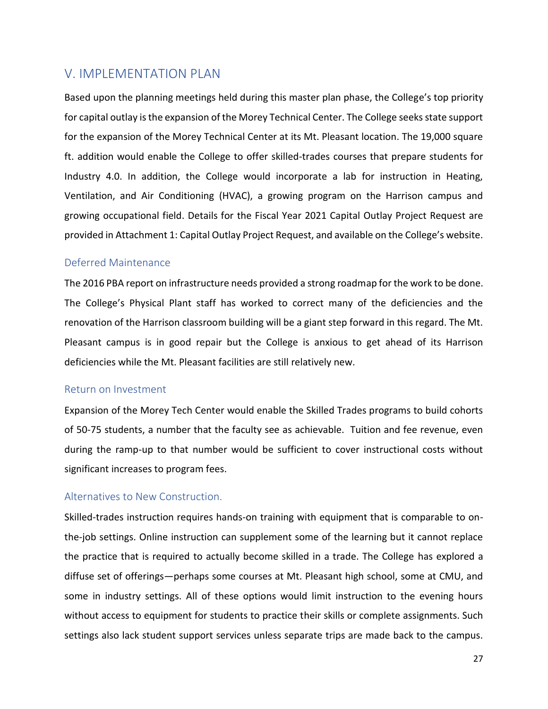## V. IMPLEMENTATION PLAN

Based upon the planning meetings held during this master plan phase, the College's top priority for capital outlay is the expansion of the Morey Technical Center. The College seeks state support for the expansion of the Morey Technical Center at its Mt. Pleasant location. The 19,000 square ft. addition would enable the College to offer skilled-trades courses that prepare students for Industry 4.0. In addition, the College would incorporate a lab for instruction in Heating, Ventilation, and Air Conditioning (HVAC), a growing program on the Harrison campus and growing occupational field. Details for the Fiscal Year 2021 Capital Outlay Project Request are provided in Attachment 1: Capital Outlay Project Request, and available on the College's website.

#### Deferred Maintenance

The 2016 PBA report on infrastructure needs provided a strong roadmap for the work to be done. The College's Physical Plant staff has worked to correct many of the deficiencies and the renovation of the Harrison classroom building will be a giant step forward in this regard. The Mt. Pleasant campus is in good repair but the College is anxious to get ahead of its Harrison deficiencies while the Mt. Pleasant facilities are still relatively new.

#### Return on Investment

Expansion of the Morey Tech Center would enable the Skilled Trades programs to build cohorts of 50-75 students, a number that the faculty see as achievable. Tuition and fee revenue, even during the ramp-up to that number would be sufficient to cover instructional costs without significant increases to program fees.

#### Alternatives to New Construction.

Skilled-trades instruction requires hands-on training with equipment that is comparable to onthe-job settings. Online instruction can supplement some of the learning but it cannot replace the practice that is required to actually become skilled in a trade. The College has explored a diffuse set of offerings—perhaps some courses at Mt. Pleasant high school, some at CMU, and some in industry settings. All of these options would limit instruction to the evening hours without access to equipment for students to practice their skills or complete assignments. Such settings also lack student support services unless separate trips are made back to the campus.